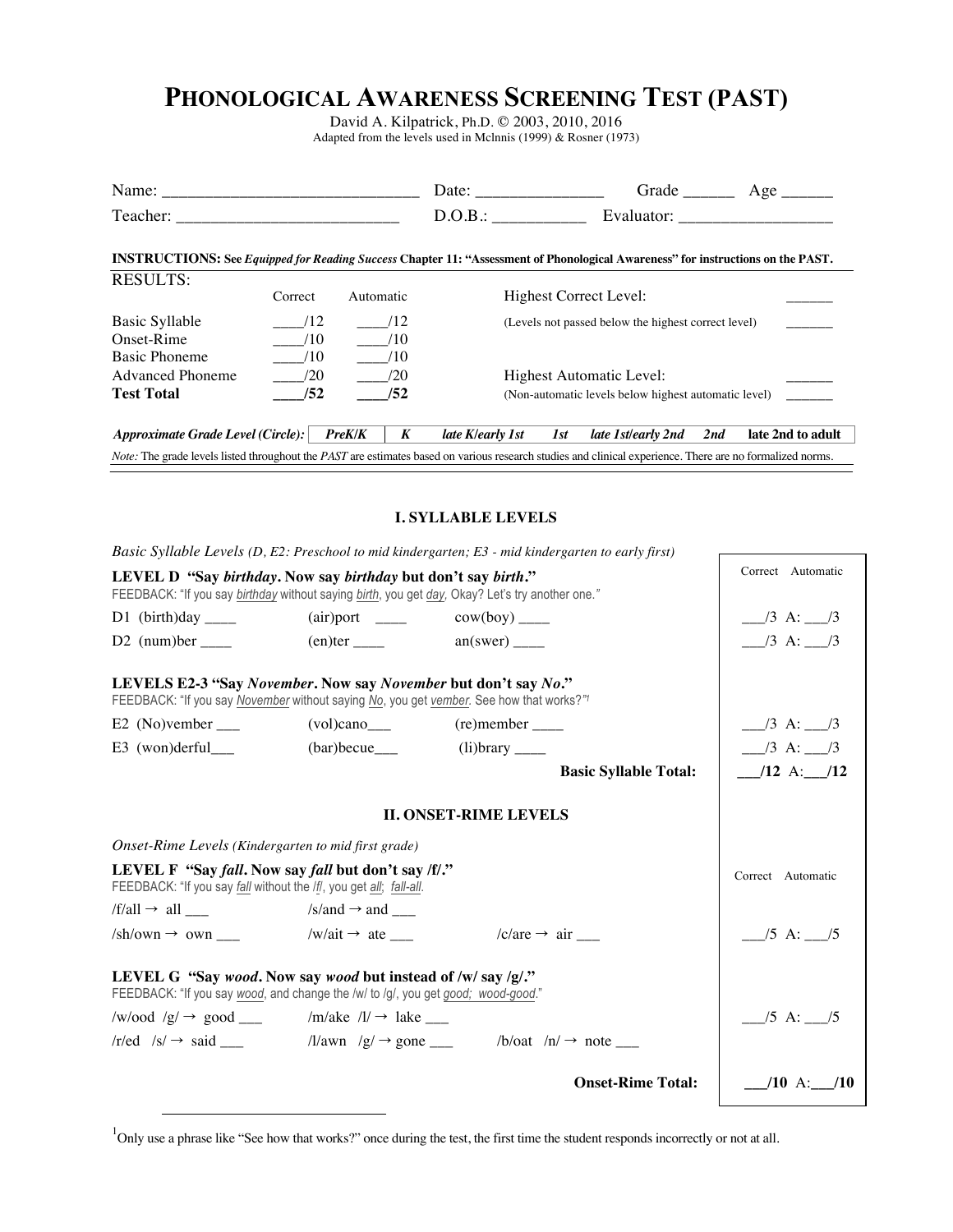## **PHONOLOGICAL AWARENESS SCREENING TEST (PAST)**

David A. Kilpatrick, Ph.D. © 2003, 2010, 2016 Adapted from the levels used in Mclnnis (1999) & Rosner (1973)

|                                                                                                                                                                         |         |                            | Date:                    |     | Grade $\_\_$                                         |     | Age $\overline{\phantom{a}}$ |
|-------------------------------------------------------------------------------------------------------------------------------------------------------------------------|---------|----------------------------|--------------------------|-----|------------------------------------------------------|-----|------------------------------|
| Teacher:                                                                                                                                                                |         |                            | D.O.B.:                  |     | Evaluator:                                           |     |                              |
| <b>INSTRUCTIONS:</b> See <i>Equipped for Reading Success</i> Chapter 11: "Assessment of Phonological Awareness" for instructions on the PAST.                           |         |                            |                          |     |                                                      |     |                              |
| <b>RESULTS:</b>                                                                                                                                                         |         |                            |                          |     |                                                      |     |                              |
|                                                                                                                                                                         | Correct | Automatic                  |                          |     | Highest Correct Level:                               |     |                              |
| Basic Syllable                                                                                                                                                          | /12     | /12                        |                          |     | (Levels not passed below the highest correct level)  |     |                              |
| Onset-Rime                                                                                                                                                              | /10     | /10                        |                          |     |                                                      |     |                              |
| <b>Basic Phoneme</b>                                                                                                                                                    | /10     | /10                        |                          |     |                                                      |     |                              |
| <b>Advanced Phoneme</b>                                                                                                                                                 | /20     | /20                        | Highest Automatic Level: |     |                                                      |     |                              |
| <b>Test Total</b>                                                                                                                                                       | /52     | /52                        |                          |     | (Non-automatic levels below highest automatic level) |     |                              |
| Approximate Grade Level (Circle):                                                                                                                                       |         | $\boldsymbol{K}$<br>PreK/K | late K/early 1st         | 1st | late 1st/early 2nd                                   | 2nd | late 2nd to adult            |
| <i>Note:</i> The grade levels listed throughout the <i>PAST</i> are estimates based on various research studies and clinical experience. There are no formalized norms. |         |                            |                          |     |                                                      |     |                              |

## **I. SYLLABLE LEVELS**

|                                                                                                                                                                  |                                               | Basic Syllable Levels $(D, E2$ : Preschool to mid kindergarten; E3 - mid kindergarten to early first) |                                |
|------------------------------------------------------------------------------------------------------------------------------------------------------------------|-----------------------------------------------|-------------------------------------------------------------------------------------------------------|--------------------------------|
| LEVEL D "Say birthday. Now say birthday but don't say birth."<br>FEEDBACK: "If you say birthday without saying birth, you get day, Okay? Let's try another one." | Correct Automatic                             |                                                                                                       |                                |
|                                                                                                                                                                  | $(air)$ port _____ cow(boy) ____              |                                                                                                       | $\frac{1}{3}$ A: $\frac{1}{3}$ |
|                                                                                                                                                                  | $(en)$ ter $\_\_\_\_\$ an(swer) $\_\_\_\_\_\$ |                                                                                                       | $\frac{1}{3}$ A: $\frac{1}{3}$ |
| LEVELS E2-3 "Say November. Now say November but don't say No."<br>FEEDBACK: "If you say November without saying No, you get vember. See how that works?"         |                                               |                                                                                                       |                                |
| E2 (No)vember $\_\_$                                                                                                                                             | $(vol)$ cano $\rule{1em}{0.15mm}$             |                                                                                                       | $\frac{3}{2}$ A: $\frac{3}{2}$ |
|                                                                                                                                                                  |                                               |                                                                                                       | $\frac{3}{2}$ A: $\frac{3}{2}$ |
|                                                                                                                                                                  |                                               | <b>Basic Syllable Total:</b>                                                                          | $\_$ /12 A: $\_$ /12           |
|                                                                                                                                                                  |                                               |                                                                                                       |                                |
| Onset-Rime Levels (Kindergarten to mid first grade)                                                                                                              |                                               |                                                                                                       |                                |
| LEVEL F "Say fall. Now say fall but don't say /f/."<br>FEEDBACK: "If you say fall without the /f/, you get all; fall-all.                                        | Correct Automatic                             |                                                                                                       |                                |
| $/f/all \rightarrow all$ $/s/and \rightarrow and$                                                                                                                |                                               |                                                                                                       |                                |
| $/\text{sh}/\text{own} \rightarrow \text{own}$ $/\text{w}/\text{ait} \rightarrow \text{ate}$ ___                                                                 |                                               | $/c/are \rightarrow air$                                                                              | $\frac{1}{5}$ A: $\frac{1}{5}$ |
| LEVEL G "Say wood. Now say wood but instead of /w/ say /g/."<br>FEEDBACK: "If you say wood, and change the /w/ to /g/, you get good; wood-good."                 |                                               |                                                                                                       |                                |
| /w/ood /g/ $\rightarrow$ good ______ /m/ake /l/ $\rightarrow$ lake ____                                                                                          |                                               |                                                                                                       | $\_$ /5 A: $\_$ /5             |
|                                                                                                                                                                  |                                               |                                                                                                       |                                |
|                                                                                                                                                                  |                                               | <b>Onset-Rime Total:</b>                                                                              | $10 A:$ $10$                   |

<sup>1</sup>Only use a phrase like "See how that works?" once during the test, the first time the student responds incorrectly or not at all.